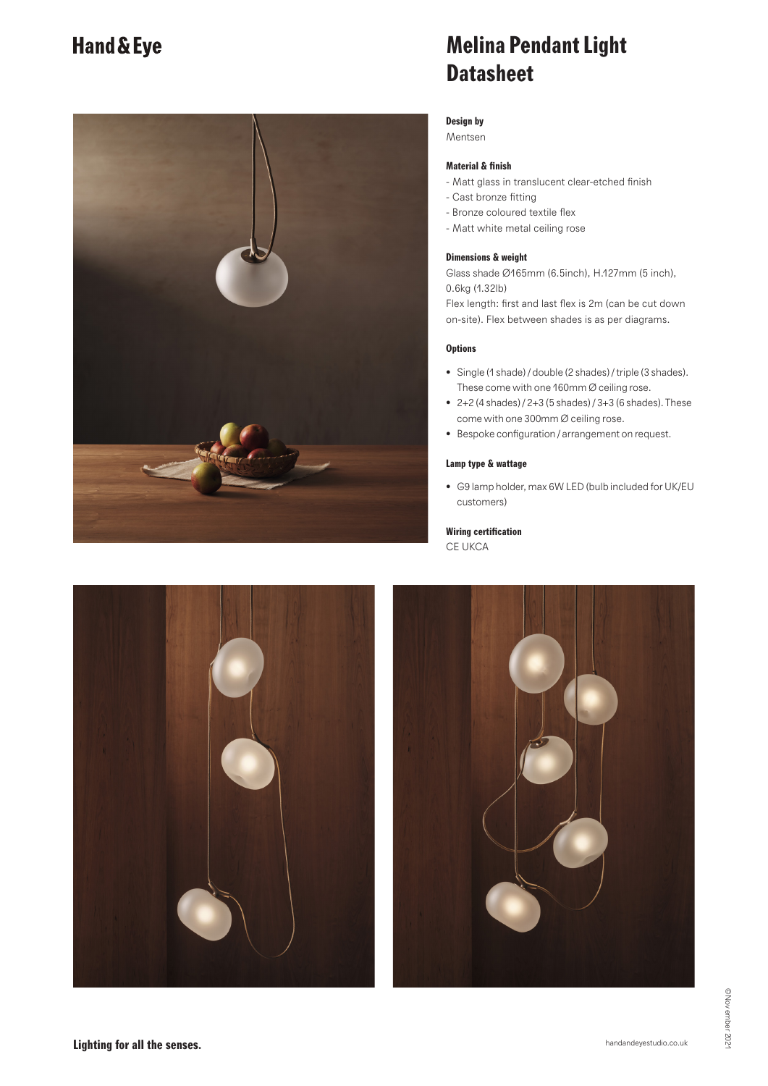## **Hand & Eye**



## **Melina Pendant Light Datasheet**

### **Design by**

Mentsen

## **Material & finish**

- Matt glass in translucent clear-etched finish
- Cast bronze fitting
- Bronze coloured textile flex
- Matt white metal ceiling rose

#### **Dimensions & weight**

Glass shade Ø165mm (6.5inch), H.127mm (5 inch), 0.6kg (1.32lb)

Flex length: first and last flex is 2m (can be cut down on-site). Flex between shades is as per diagrams.

### **Options**

- Single (1 shade) / double (2 shades) / triple (3 shades). These come with one 160mm Ø ceiling rose.
- 2+2 (4 shades) / 2+3 (5 shades) / 3+3 (6 shades). These come with one 300mm Ø ceiling rose.
- Bespoke configuration / arrangement on request.

#### **Lamp type & wattage**

• G9 lamp holder, max 6W LED (bulb included for UK/EU customers)

## **Wiring certification**

CE UKCA



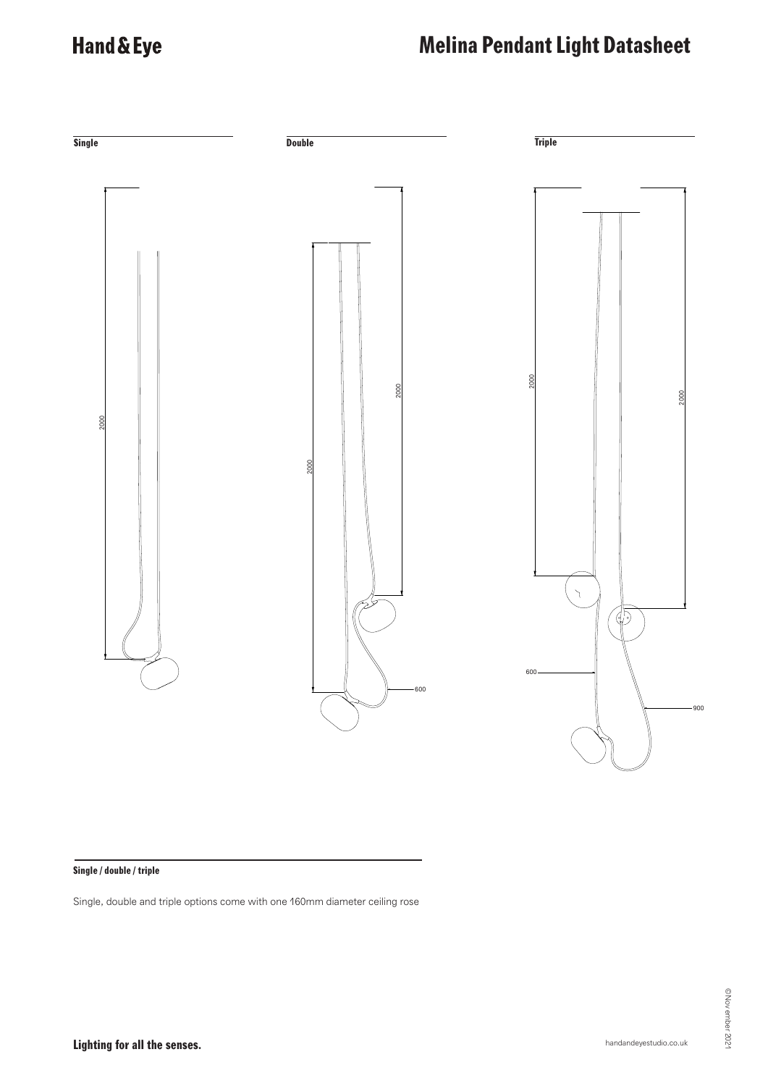## Hand & Eye

# **Melina Pendant Light Datasheet**



## **Single / double / triple**

Single, double and triple options come with one 160mm diameter ceiling rose